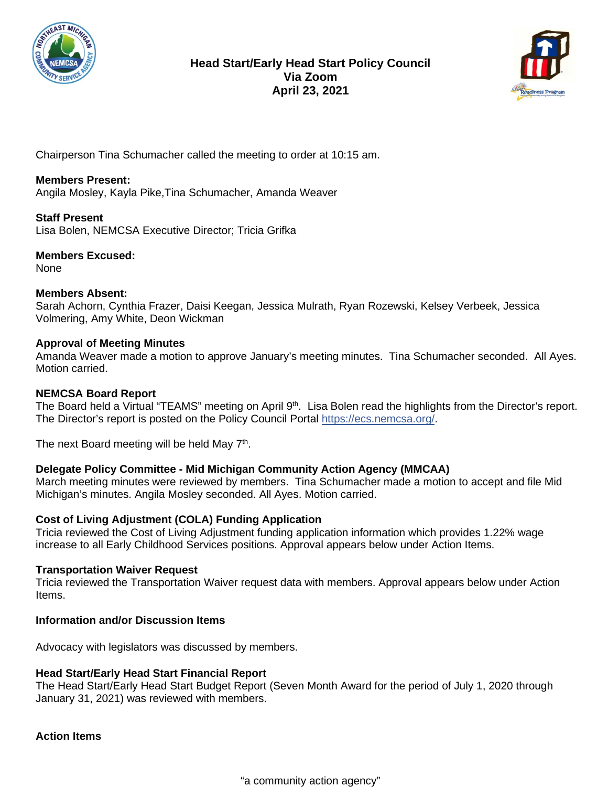



Chairperson Tina Schumacher called the meeting to order at 10:15 am.

# **Members Present:**

Angila Mosley, Kayla Pike,Tina Schumacher, Amanda Weaver

**Staff Present** Lisa Bolen, NEMCSA Executive Director; Tricia Grifka

**Members Excused:** None

### **Members Absent:**

Sarah Achorn, Cynthia Frazer, Daisi Keegan, Jessica Mulrath, Ryan Rozewski, Kelsey Verbeek, Jessica Volmering, Amy White, Deon Wickman

# **Approval of Meeting Minutes**

Amanda Weaver made a motion to approve January's meeting minutes. Tina Schumacher seconded. All Ayes. Motion carried.

### **NEMCSA Board Report**

The Board held a Virtual "TEAMS" meeting on April 9<sup>th</sup>. Lisa Bolen read the highlights from the Director's report. The Director's report is posted on the Policy Council Portal [https://ecs.nemcsa.org/.](https://ecs.nemcsa.org/?fbclid=IwAR332m4KtqYSpk4nmEkoQHu3OlnFLasja6amyIwDRoQA3jpPL1Is9aJjOuE)

The next Board meeting will be held May 7<sup>th</sup>.

# **Delegate Policy Committee - Mid Michigan Community Action Agency (MMCAA)**

March meeting minutes were reviewed by members. Tina Schumacher made a motion to accept and file Mid Michigan's minutes. Angila Mosley seconded. All Ayes. Motion carried.

### **Cost of Living Adjustment (COLA) Funding Application**

Tricia reviewed the Cost of Living Adjustment funding application information which provides 1.22% wage increase to all Early Childhood Services positions. Approval appears below under Action Items.

### **Transportation Waiver Request**

Tricia reviewed the Transportation Waiver request data with members. Approval appears below under Action Items.

### **Information and/or Discussion Items**

Advocacy with legislators was discussed by members.

### **Head Start/Early Head Start Financial Report**

The Head Start/Early Head Start Budget Report (Seven Month Award for the period of July 1, 2020 through January 31, 2021) was reviewed with members.

**Action Items**